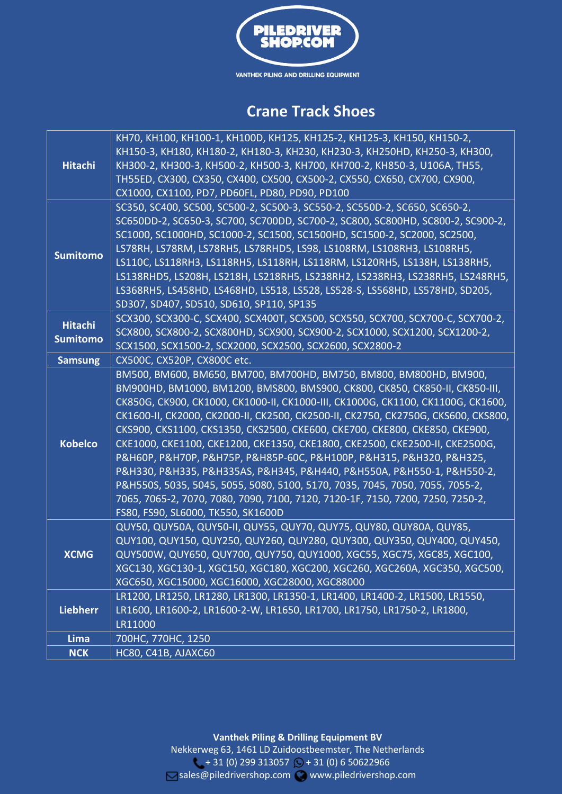

## **Crane Track Shoes**

| <b>Hitachi</b>                    | КН70, КН100, КН100-1, КН100D, КН125, КН125-2, КН125-3, КН150, КН150-2,<br>КН150-3, КН180, КН180-2, КН180-3, КН230, КН230-3, КН250НD, КН250-3, КН300,<br>КНЗОО-2, КНЗОО-3, КН5ОО-2, КН5ОО-3, КН7ОО, КН7ОО-2, КН85О-3, U1О6А, ТН55,<br>TH55ED, CX300, CX350, CX400, CX500, CX500-2, CX550, CX650, CX700, CX900,<br>CX1000, CX1100, PD7, PD60FL, PD80, PD90, PD100                                                                                                                                                                                                                                                                                                                                                                                                                                                                                  |
|-----------------------------------|--------------------------------------------------------------------------------------------------------------------------------------------------------------------------------------------------------------------------------------------------------------------------------------------------------------------------------------------------------------------------------------------------------------------------------------------------------------------------------------------------------------------------------------------------------------------------------------------------------------------------------------------------------------------------------------------------------------------------------------------------------------------------------------------------------------------------------------------------|
| <b>Sumitomo</b>                   | SC350, SC400, SC500, SC500-2, SC500-3, SC550-2, SC550D-2, SC650, SC650-2,<br>SC650DD-2, SC650-3, SC700, SC700DD, SC700-2, SC800, SC800HD, SC800-2, SC900-2,<br>SC1000, SC1000HD, SC1000-2, SC1500, SC1500HD, SC1500-2, SC2000, SC2500,<br>LS78RH, LS78RM, LS78RH5, LS78RHD5, LS98, LS108RM, LS108RH3, LS108RH5,<br>LS110C, LS118RH3, LS118RH5, LS118RH, LS118RM, LS120RH5, LS138H, LS138RH5,<br>LS138RHD5, LS208H, LS218H, LS218RH5, LS238RH2, LS238RH3, LS238RH5, LS248RH5,<br>LS368RH5, LS458HD, LS468HD, LS518, LS528, LS528-S, LS568HD, LS578HD, SD205,<br>SD307, SD407, SD510, SD610, SP110, SP135                                                                                                                                                                                                                                          |
| <b>Hitachi</b><br><b>Sumitomo</b> | SCX300, SCX300-C, SCX400, SCX400T, SCX500, SCX550, SCX700, SCX700-C, SCX700-2,<br>SCX800, SCX800-2, SCX800HD, SCX900, SCX900-2, SCX1000, SCX1200, SCX1200-2,<br>SCX1500, SCX1500-2, SCX2000, SCX2500, SCX2600, SCX2800-2                                                                                                                                                                                                                                                                                                                                                                                                                                                                                                                                                                                                                         |
| <b>Samsung</b>                    | CX500C, CX520P, CX800C etc.                                                                                                                                                                                                                                                                                                                                                                                                                                                                                                                                                                                                                                                                                                                                                                                                                      |
| <b>Kobelco</b>                    | ВМ500, ВМ600, ВМ650, ВМ700, ВМ700НD, ВМ750, ВМ800, ВМ800НD, ВМ900,<br>BM900HD, BM1000, BM1200, BMS800, BMS900, CK800, CK850, CK850-II, CK850-III,<br>CK850G, CK900, CK1000, CK1000-II, CK1000-III, CK1000G, CK1100, CK1100G, CK1600,<br>CK1600-II, CK2000, CK2000-II, CK2500, CK2500-II, CK2750, CK2750G, CKS600, CKS800,<br>CKS900, CKS1100, CKS1350, CKS2500, CKE600, CKE700, CKE800, CKE850, CKE900,<br>CKE1000, CKE1100, CKE1200, CKE1350, CKE1800, CKE2500, CKE2500-II, CKE2500G,<br>Р&Н60Р, Р&Н70Р, Р&Н75Р, Р&Н85Р-60С, Р&Н100Р, Р&Н315, Р&Н320, Р&Н325,<br>P&H330, P&H335, P&H335AS, P&H345, P&H440, P&H550A, P&H550-1, P&H550-2,<br>P&H550S, 5035, 5045, 5055, 5080, 5100, 5170, 7035, 7045, 7050, 7055, 7055-2,<br>7065, 7065-2, 7070, 7080, 7090, 7100, 7120, 7120-1F, 7150, 7200, 7250, 7250-2,<br>FS80, FS90, SL6000, TK550, SK1600D |
| <b>XCMG</b>                       | QUY50, QUY50A, QUY50-II, QUY55, QUY70, QUY75, QUY80, QUY80A, QUY85,<br>QUY100, QUY150, QUY250, QUY260, QUY280, QUY300, QUY350, QUY400, QUY450,<br>QUY500W, QUY650, QUY700, QUY750, QUY1000, XGC55, XGC75, XGC85, XGC100,<br>XGC130, XGC130-1, XGC150, XGC180, XGC200, XGC260, XGC260A, XGC350, XGC500,<br>XGC650, XGC15000, XGC16000, XGC28000, XGC88000                                                                                                                                                                                                                                                                                                                                                                                                                                                                                         |
| <b>Liebherr</b>                   | LR1200, LR1250, LR1280, LR1300, LR1350-1, LR1400, LR1400-2, LR1500, LR1550,<br>LR1600, LR1600-2, LR1600-2-W, LR1650, LR1700, LR1750, LR1750-2, LR1800,<br>LR11000                                                                                                                                                                                                                                                                                                                                                                                                                                                                                                                                                                                                                                                                                |
| Lima                              | 700HC, 770HC, 1250                                                                                                                                                                                                                                                                                                                                                                                                                                                                                                                                                                                                                                                                                                                                                                                                                               |
| <b>NCK</b>                        | <b>HC80, C41B, AJAXC60</b>                                                                                                                                                                                                                                                                                                                                                                                                                                                                                                                                                                                                                                                                                                                                                                                                                       |